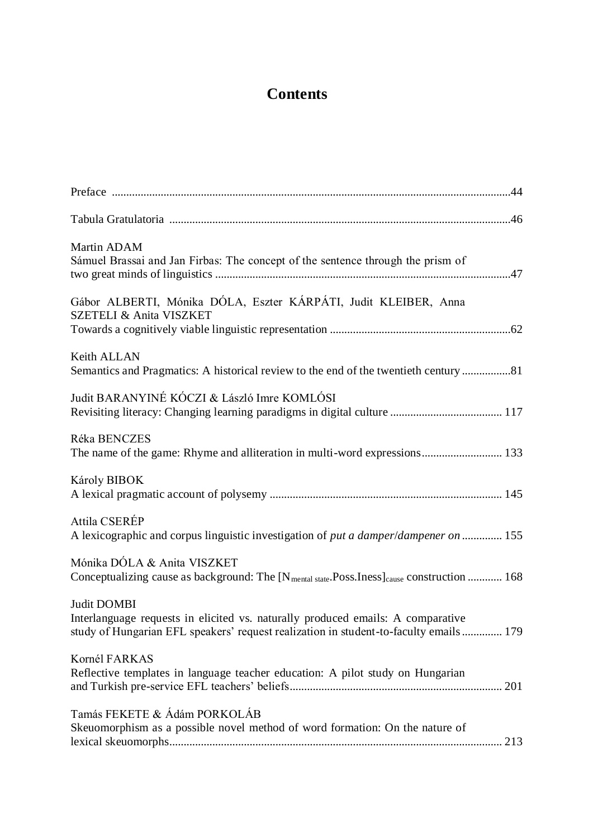## **Contents**

| Martin ADAM<br>Sámuel Brassai and Jan Firbas: The concept of the sentence through the prism of                                                                                          |
|-----------------------------------------------------------------------------------------------------------------------------------------------------------------------------------------|
| Gábor ALBERTI, Mónika DÓLA, Eszter KÁRPÁTI, Judit KLEIBER, Anna<br>SZETELI & Anita VISZKET                                                                                              |
| Keith ALLAN<br>Semantics and Pragmatics: A historical review to the end of the twentieth century 81                                                                                     |
| Judit BARANYINÉ KÓCZI & László Imre KOMLÓSI                                                                                                                                             |
| Réka BENCZES<br>The name of the game: Rhyme and alliteration in multi-word expressions 133                                                                                              |
| Károly BIBOK                                                                                                                                                                            |
| Attila CSERÉP<br>A lexicographic and corpus linguistic investigation of put a damper/dampener on  155                                                                                   |
| Mónika DÓLA & Anita VISZKET<br>Conceptualizing cause as background: The [N <sub>mental state</sub> .Poss.Iness] <sub>cause</sub> construction  168                                      |
| Judit DOMBI<br>Interlanguage requests in elicited vs. naturally produced emails: A comparative<br>study of Hungarian EFL speakers' request realization in student-to-faculty emails 179 |
| Kornél FARKAS<br>Reflective templates in language teacher education: A pilot study on Hungarian                                                                                         |
| Tamás FEKETE & Ádám PORKOLÁB<br>Skeuomorphism as a possible novel method of word formation: On the nature of                                                                            |